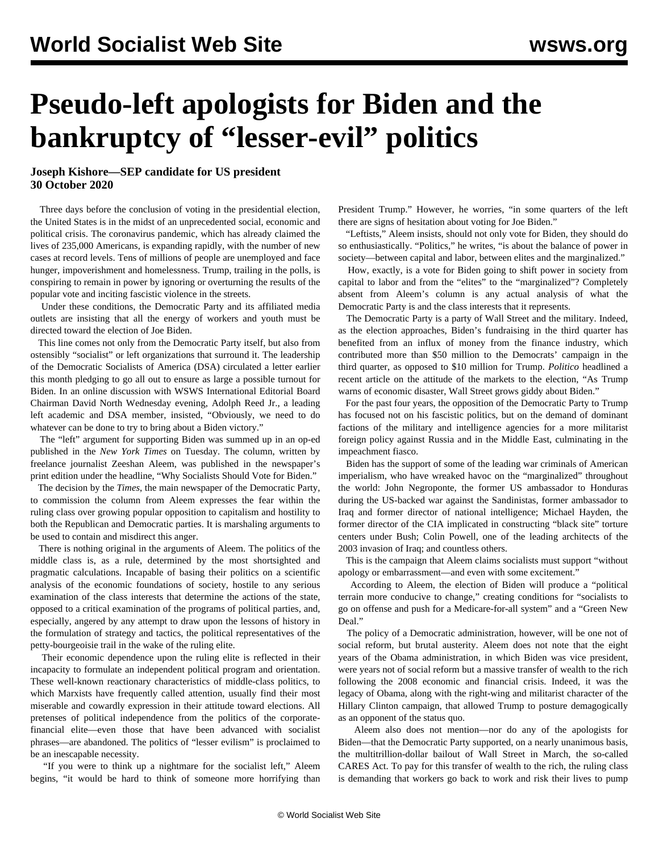## **Pseudo-left apologists for Biden and the bankruptcy of "lesser-evil" politics**

**Joseph Kishore—SEP candidate for US president 30 October 2020**

 Three days before the conclusion of voting in the presidential election, the United States is in the midst of an unprecedented social, economic and political crisis. The coronavirus pandemic, which has already claimed the lives of 235,000 Americans, is expanding rapidly, with the number of new cases at record levels. Tens of millions of people are unemployed and face hunger, impoverishment and homelessness. Trump, trailing in the polls, is conspiring to remain in power by ignoring or overturning the results of the popular vote and inciting fascistic violence in the streets.

 Under these conditions, the Democratic Party and its affiliated media outlets are insisting that all the energy of workers and youth must be directed toward the election of Joe Biden.

 This line comes not only from the Democratic Party itself, but also from ostensibly "socialist" or left organizations that surround it. The leadership of the Democratic Socialists of America (DSA) circulated [a letter](/en/articles/2020/10/17/dsoc-o17.html) earlier this month pledging to go all out to ensure as large a possible turnout for Biden. In an [online discussion](/en/articles/2020/10/30/sdsu-o30.html) with WSWS International Editorial Board Chairman David North Wednesday evening, Adolph Reed Jr., a leading left academic and DSA member, insisted, "Obviously, we need to do whatever can be done to try to bring about a Biden victory."

 The "left" argument for supporting Biden was summed up in an [op-ed](https://www.nytimes.com/2020/10/27/opinion/joe-biden-left.html) published in the *New York Times* on Tuesday. The column, written by freelance journalist Zeeshan Aleem, was published in the newspaper's print edition under the headline, "Why Socialists Should Vote for Biden."

 The decision by the *Times*, the main newspaper of the Democratic Party, to commission the column from Aleem expresses the fear within the ruling class over growing popular opposition to capitalism and hostility to both the Republican and Democratic parties. It is marshaling arguments to be used to contain and misdirect this anger.

 There is nothing original in the arguments of Aleem. The politics of the middle class is, as a rule, determined by the most shortsighted and pragmatic calculations. Incapable of basing their politics on a scientific analysis of the economic foundations of society, hostile to any serious examination of the class interests that determine the actions of the state, opposed to a critical examination of the programs of political parties, and, especially, angered by any attempt to draw upon the lessons of history in the formulation of strategy and tactics, the political representatives of the petty-bourgeoisie trail in the wake of the ruling elite.

 Their economic dependence upon the ruling elite is reflected in their incapacity to formulate an independent political program and orientation. These well-known reactionary characteristics of middle-class politics, to which Marxists have frequently called attention, usually find their most miserable and cowardly expression in their attitude toward elections. All pretenses of political independence from the politics of the corporatefinancial elite—even those that have been advanced with socialist phrases—are abandoned. The politics of "lesser evilism" is proclaimed to be an inescapable necessity.

 "If you were to think up a nightmare for the socialist left," Aleem begins, "it would be hard to think of someone more horrifying than

President Trump." However, he worries, "in some quarters of the left there are signs of hesitation about voting for Joe Biden."

 "Leftists," Aleem insists, should not only vote for Biden, they should do so enthusiastically. "Politics," he writes, "is about the balance of power in society—between capital and labor, between elites and the marginalized."

 How, exactly, is a vote for Biden going to shift power in society from capital to labor and from the "elites" to the "marginalized"? Completely absent from Aleem's column is any actual analysis of what the Democratic Party is and the class interests that it represents.

 The Democratic Party is a party of Wall Street and the military. Indeed, as the election approaches, Biden's fundraising in the third quarter has benefited from an [influx of money](/en/articles/2020/10/22/elec-o22.html) from the finance industry, which contributed more than \$50 million to the Democrats' campaign in the third quarter, as opposed to \$10 million for Trump. *Politico* headlined a recent [article](https://www.politico.com/news/2020/10/27/wall-street-biden-blue-wave-432710) on the attitude of the markets to the election, "As Trump warns of economic disaster, Wall Street grows giddy about Biden."

 For the past four years, the opposition of the Democratic Party to Trump has focused not on his fascistic politics, but on the demand of dominant factions of the military and intelligence agencies for a more militarist foreign policy against Russia and in the Middle East, culminating in the [impeachment fiasco.](/en/articles/2020/02/06/pers-f06.html)

 Biden has the support of some of the [leading war criminals](/en/articles/2020/08/26/repu-a26.html) of American imperialism, who have wreaked havoc on the "marginalized" throughout the world: John Negroponte, the former US ambassador to Honduras during the US-backed war against the Sandinistas, former ambassador to Iraq and former director of national intelligence; Michael Hayden, the former director of the CIA implicated in constructing "black site" torture centers under Bush; Colin Powell, one of the leading architects of the 2003 invasion of Iraq; and countless others.

 This is the campaign that Aleem claims socialists must support "without apology or embarrassment—and even with some excitement."

 According to Aleem, the election of Biden will produce a "political terrain more conducive to change," creating conditions for "socialists to go on offense and push for a Medicare-for-all system" and a "Green New Deal."

 The policy of a Democratic administration, however, will be one not of social reform, but brutal austerity. Aleem does not note that the eight years of the Obama administration, in which Biden was vice president, were years not of social reform but a massive transfer of wealth to the rich following the 2008 economic and financial crisis. Indeed, it was the legacy of Obama, along with the right-wing and militarist character of the Hillary Clinton campaign, that allowed Trump to posture demagogically as an opponent of the status quo.

 Aleem also does not mention—nor do any of the apologists for Biden—that the Democratic Party supported, on a nearly unanimous basis, the multitrillion-dollar bailout of Wall Street in March, the so-called CARES Act. To pay for this transfer of wealth to the rich, the ruling class is demanding that workers go back to work and risk their lives to pump